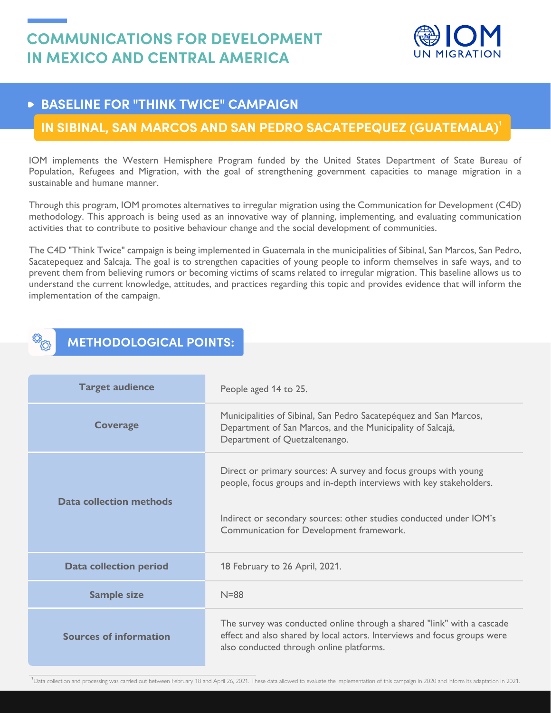

## **BASELINE FOR "THINK TWICE" CAMPAIGN**

## **IN SIBINAL, SAN MARCOS AND SAN PEDRO SACATEPEQUEZ (GUATEMALA)<sup>1</sup>**

IOM implements the Western Hemisphere Program funded by the United States Department of State Bureau of Population, Refugees and Migration, with the goal of strengthening government capacities to manage migration in a sustainable and humane manner.

Through this program, IOM promotes alternatives to irregular migration using the Communication for Development (C4D) methodology. This approach is being used as an innovative way of planning, implementing, and evaluating communication activities that to contribute to positive behaviour change and the social development of communities.

The C4D "Think Twice" campaign is being implemented in Guatemala in the municipalities of Sibinal, San Marcos, San Pedro, Sacatepequez and Salcaja. The goal is to strengthen capacities of young people to inform themselves in safe ways, and to prevent them from believing rumors or becoming victims of scams related to irregular migration. This baseline allows us to understand the current knowledge, attitudes, and practices regarding this topic and provides evidence that will inform the implementation of the campaign.

## **METHODOLOGICAL POINTS:**

| <b>Target audience</b>        | People aged 14 to 25.                                                                                                                                                                                                                                    |
|-------------------------------|----------------------------------------------------------------------------------------------------------------------------------------------------------------------------------------------------------------------------------------------------------|
| <b>Coverage</b>               | Municipalities of Sibinal, San Pedro Sacatepéquez and San Marcos,<br>Department of San Marcos, and the Municipality of Salcajá,<br>Department of Quetzaltenango.                                                                                         |
| Data collection methods       | Direct or primary sources: A survey and focus groups with young<br>people, focus groups and in-depth interviews with key stakeholders.<br>Indirect or secondary sources: other studies conducted under IOM's<br>Communication for Development framework. |
| <b>Data collection period</b> | 18 February to 26 April, 2021.                                                                                                                                                                                                                           |
| <b>Sample size</b>            | $N = 88$                                                                                                                                                                                                                                                 |
| <b>Sources of information</b> | The survey was conducted online through a shared "link" with a cascade<br>effect and also shared by local actors. Interviews and focus groups were<br>also conducted through online platforms.                                                           |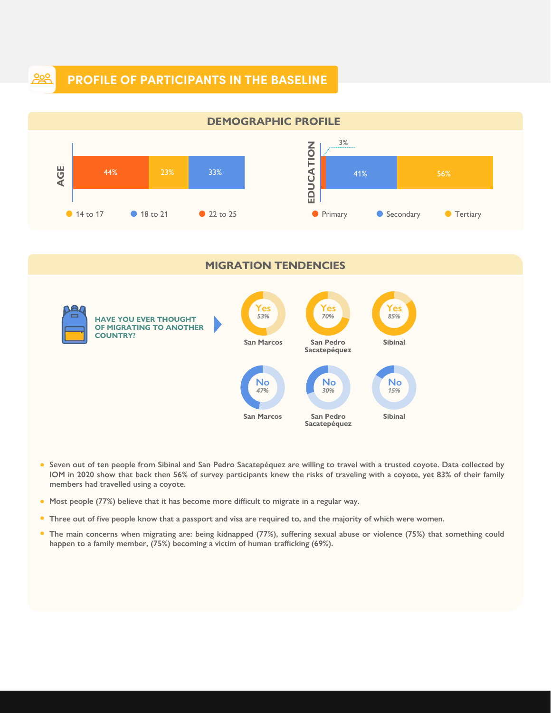## **PROFILE OF PARTICIPANTS IN THE BASELINE**

<u>၀၀</u>



- **Seven out of ten people from Sibinal and San Pedro Sacatepéquez are willing to travel with a trusted coyote. Data collected by IOM in 2020 show that back then 56% of survey participants knew the risks of traveling with a coyote, yet 83% of their family members had travelled using a coyote.**
- **Most people (77%) believe that it has become more difficult to migrate in a regular way.**
- **Three out of five people know that a passport and visa are required to, and the majority of which were women.**
- $\bullet$ **The main concerns when migrating are: being kidnapped (77%), suffering sexual abuse or violence (75%) that something could happen to a family member, (75%) becoming a victim of human trafficking (69%).**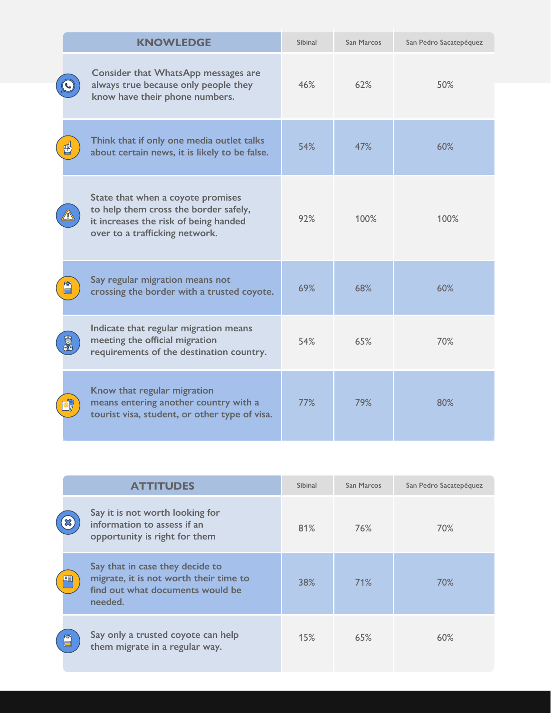|  | <b>KNOWLEDGE</b>                                                                                                                                      | Sibinal | <b>San Marcos</b> | San Pedro Sacatepéquez |
|--|-------------------------------------------------------------------------------------------------------------------------------------------------------|---------|-------------------|------------------------|
|  | Consider that WhatsApp messages are<br>always true because only people they<br>know have their phone numbers.                                         | 46%     | 62%               | 50%                    |
|  | Think that if only one media outlet talks<br>about certain news, it is likely to be false.                                                            | 54%     | 47%               | 60%                    |
|  | State that when a coyote promises<br>to help them cross the border safely,<br>it increases the risk of being handed<br>over to a trafficking network. | 92%     | 100%              | 100%                   |
|  | Say regular migration means not<br>crossing the border with a trusted coyote.                                                                         | 69%     | 68%               | 60%                    |
|  | Indicate that regular migration means<br>meeting the official migration<br>requirements of the destination country.                                   | 54%     | 65%               | 70%                    |
|  | Know that regular migration<br>means entering another country with a<br>tourist visa, student, or other type of visa.                                 | 77%     | 79%               | 80%                    |

|   | <b>ATTITUDES</b>                                                                                                         | Sibinal | San Marcos | San Pedro Sacatepéquez |
|---|--------------------------------------------------------------------------------------------------------------------------|---------|------------|------------------------|
|   | Say it is not worth looking for<br>information to assess if an<br>opportunity is right for them                          | 81%     | 76%        | 70%                    |
| 啯 | Say that in case they decide to<br>migrate, it is not worth their time to<br>find out what documents would be<br>needed. | 38%     | 71%        | 70%                    |
| 噌 | Say only a trusted coyote can help<br>them migrate in a regular way.                                                     | 15%     | 65%        | 60%                    |